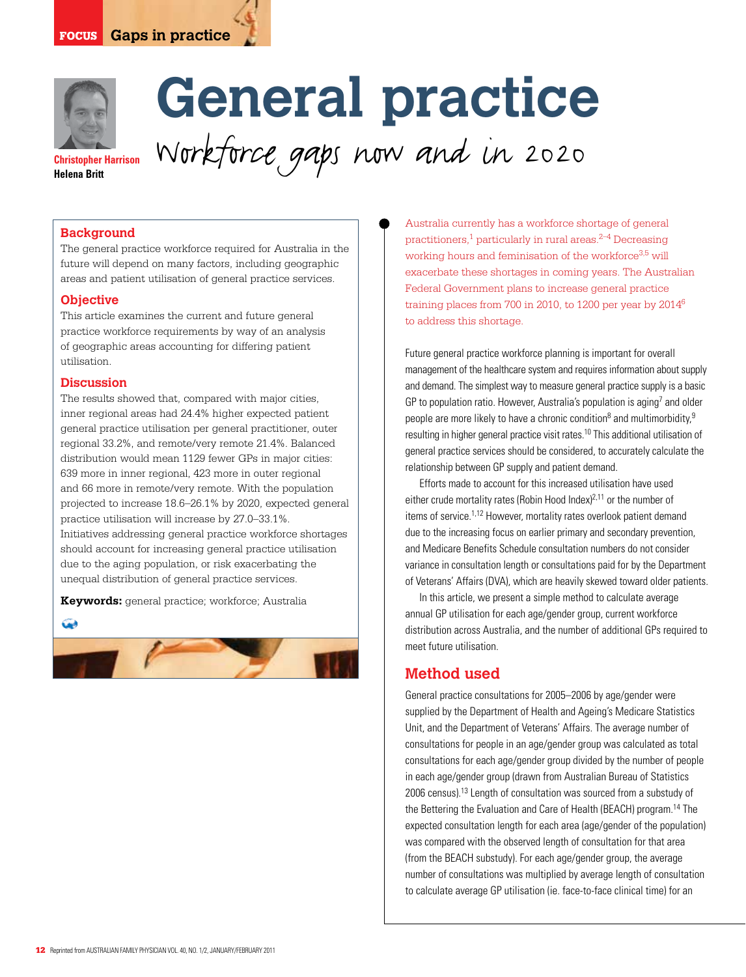

**Helena Britt**

# **General practice**  Workforce gaps now and in 2020

## **Background**

The general practice workforce required for Australia in the future will depend on many factors, including geographic areas and patient utilisation of general practice services.

## **Objective**

This article examines the current and future general practice workforce requirements by way of an analysis of geographic areas accounting for differing patient utilisation.

#### **Discussion**

The results showed that, compared with major cities, inner regional areas had 24.4% higher expected patient general practice utilisation per general practitioner, outer regional 33.2%, and remote/very remote 21.4%. Balanced distribution would mean 1129 fewer GPs in major cities: 639 more in inner regional, 423 more in outer regional and 66 more in remote/very remote. With the population projected to increase 18.6–26.1% by 2020, expected general practice utilisation will increase by 27.0–33.1%. Initiatives addressing general practice workforce shortages should account for increasing general practice utilisation due to the aging population, or risk exacerbating the unequal distribution of general practice services.

**Keywords:** general practice; workforce; Australia



Australia currently has a workforce shortage of general practitioners, $1$  particularly in rural areas. $2-4$  Decreasing working hours and feminisation of the workforce<sup>3,5</sup> will exacerbate these shortages in coming years. The Australian Federal Government plans to increase general practice training places from 700 in 2010, to 1200 per year by 20146 to address this shortage.

Future general practice workforce planning is important for overall management of the healthcare system and requires information about supply and demand. The simplest way to measure general practice supply is a basic GP to population ratio. However, Australia's population is aging<sup>7</sup> and older people are more likely to have a chronic condition<sup>8</sup> and multimorbidity,<sup>9</sup> resulting in higher general practice visit rates.<sup>10</sup> This additional utilisation of general practice services should be considered, to accurately calculate the relationship between GP supply and patient demand.

 Efforts made to account for this increased utilisation have used either crude mortality rates (Robin Hood Index) $^{2,11}$  or the number of items of service.<sup>1,12</sup> However, mortality rates overlook patient demand due to the increasing focus on earlier primary and secondary prevention, and Medicare Benefits Schedule consultation numbers do not consider variance in consultation length or consultations paid for by the Department of Veterans' Affairs (DVA), which are heavily skewed toward older patients.

 In this article, we present a simple method to calculate average annual GP utilisation for each age/gender group, current workforce distribution across Australia, and the number of additional GPs required to meet future utilisation.

# **Method used**

General practice consultations for 2005–2006 by age/gender were supplied by the Department of Health and Ageing's Medicare Statistics Unit, and the Department of Veterans' Affairs. The average number of consultations for people in an age/gender group was calculated as total consultations for each age/gender group divided by the number of people in each age/gender group (drawn from Australian Bureau of Statistics 2006 census).13 Length of consultation was sourced from a substudy of the Bettering the Evaluation and Care of Health (BEACH) program.14 The expected consultation length for each area (age/gender of the population) was compared with the observed length of consultation for that area (from the BEACH substudy). For each age/gender group, the average number of consultations was multiplied by average length of consultation to calculate average GP utilisation (ie. face-to-face clinical time) for an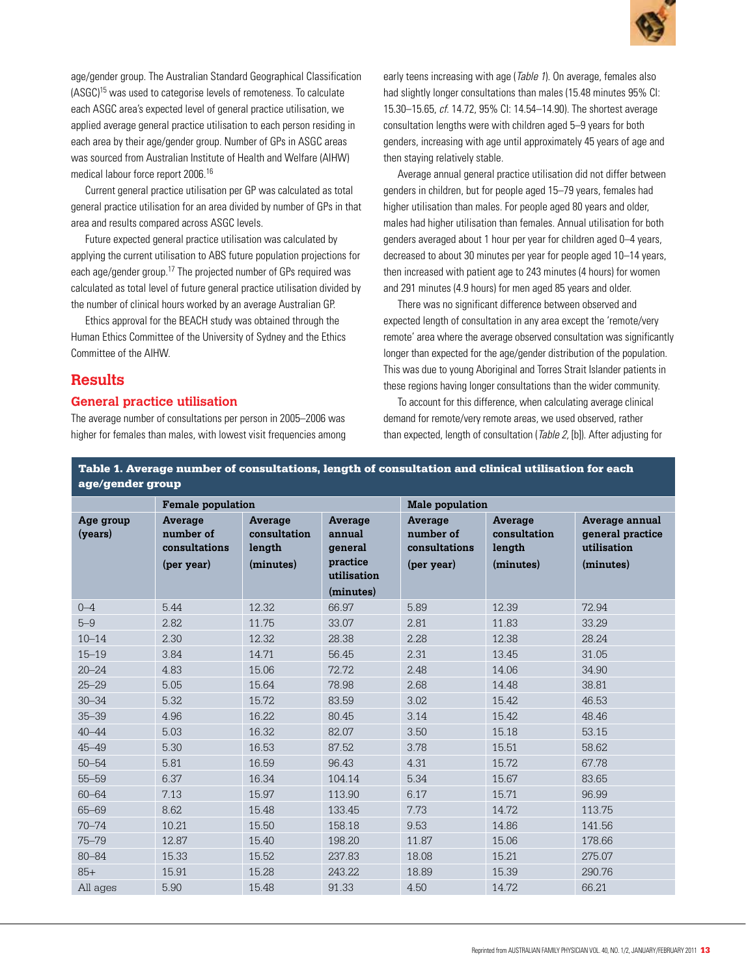

age/gender group. The Australian Standard Geographical Classification (ASGC) 15 was used to categorise levels of remoteness. To calculate each ASGC area's expected level of general practice utilisation, we applied average general practice utilisation to each person residing in each area by their age/gender group. Number of GPs in ASGC areas was sourced from Australian Institute of Health and Welfare (AIHW) medical labour force report 2006.16

 Current general practice utilisation per GP was calculated as total general practice utilisation for an area divided by number of GPs in that area and results compared across ASGC levels.

Future expected general practice utilisation was calculated by applying the current utilisation to ABS future population projections for each age/gender group.17 The projected number of GPs required was calculated as total level of future general practice utilisation divided by the number of clinical hours worked by an average Australian GP.

 Ethics approval for the BEACH study was obtained through the Human Ethics Committee of the University of Sydney and the Ethics Committee of the AIHW.

## **Results**

#### **General practice utilisation**

The average number of consultations per person in 2005–2006 was higher for females than males, with lowest visit frequencies among early teens increasing with age (*Table 1*). On average, females also had slightly longer consultations than males (15.48 minutes 95% CI: 15.30–15.65, cf. 14.72, 95% CI: 14.54–14.90). The shortest average consultation lengths were with children aged 5–9 years for both genders, increasing with age until approximately 45 years of age and then staying relatively stable.

Average annual general practice utilisation did not differ between genders in children, but for people aged 15–79 years, females had higher utilisation than males. For people aged 80 years and older, males had higher utilisation than females. Annual utilisation for both genders averaged about 1 hour per year for children aged 0–4 years, decreased to about 30 minutes per year for people aged 10–14 years, then increased with patient age to 243 minutes (4 hours) for women and 291 minutes (4.9 hours) for men aged 85 years and older.

 There was no significant difference between observed and expected length of consultation in any area except the 'remote/very remote' area where the average observed consultation was significantly longer than expected for the age/gender distribution of the population. This was due to young Aboriginal and Torres Strait Islander patients in these regions having longer consultations than the wider community.

 To account for this difference, when calculating average clinical demand for remote/very remote areas, we used observed, rather than expected, length of consultation (Table 2, [b]). After adjusting for

| Table 1. Average number of consultations, length of consultation and clinical utilisation for each |
|----------------------------------------------------------------------------------------------------|
| age/gender group                                                                                   |

|                               | <b>Female population</b>                            |                                                |                                                                      | <b>Male population</b>                              |                                                |                                                                |
|-------------------------------|-----------------------------------------------------|------------------------------------------------|----------------------------------------------------------------------|-----------------------------------------------------|------------------------------------------------|----------------------------------------------------------------|
| Age group<br>( <b>years</b> ) | Average<br>number of<br>consultations<br>(per year) | Average<br>consultation<br>length<br>(minutes) | Average<br>annual<br>general<br>practice<br>utilisation<br>(minutes) | Average<br>number of<br>consultations<br>(per year) | Average<br>consultation<br>length<br>(minutes) | Average annual<br>general practice<br>utilisation<br>(minutes) |
| $0 - 4$                       | 5.44                                                | 12.32                                          | 66.97                                                                | 5.89                                                | 12.39                                          | 72.94                                                          |
| $5 - 9$                       | 2.82                                                | 11.75                                          | 33.07                                                                | 2.81                                                | 11.83                                          | 33.29                                                          |
| $10 - 14$                     | 2.30                                                | 12.32                                          | 28.38                                                                | 2.28                                                | 12.38                                          | 28.24                                                          |
| $15 - 19$                     | 3.84                                                | 14.71                                          | 56.45                                                                | 2.31                                                | 13.45                                          | 31.05                                                          |
| $20 - 24$                     | 4.83                                                | 15.06                                          | 72.72                                                                | 2.48                                                | 14.06                                          | 34.90                                                          |
| $25 - 29$                     | 5.05                                                | 15.64                                          | 78.98                                                                | 2.68                                                | 14.48                                          | 38.81                                                          |
| $30 - 34$                     | 5.32                                                | 15.72                                          | 83.59                                                                | 3.02                                                | 15.42                                          | 46.53                                                          |
| $35 - 39$                     | 4.96                                                | 16.22                                          | 80.45                                                                | 3.14                                                | 15.42                                          | 48.46                                                          |
| $40 - 44$                     | 5.03                                                | 16.32                                          | 82.07                                                                | 3.50                                                | 15.18                                          | 53.15                                                          |
| $45 - 49$                     | 5.30                                                | 16.53                                          | 87.52                                                                | 3.78                                                | 15.51                                          | 58.62                                                          |
| $50 - 54$                     | 5.81                                                | 16.59                                          | 96.43                                                                | 4.31                                                | 15.72                                          | 67.78                                                          |
| $55 - 59$                     | 6.37                                                | 16.34                                          | 104.14                                                               | 5.34                                                | 15.67                                          | 83.65                                                          |
| $60 - 64$                     | 7.13                                                | 15.97                                          | 113.90                                                               | 6.17                                                | 15.71                                          | 96.99                                                          |
| 65-69                         | 8.62                                                | 15.48                                          | 133.45                                                               | 7.73                                                | 14.72                                          | 113.75                                                         |
| $70 - 74$                     | 10.21                                               | 15.50                                          | 158.18                                                               | 9.53                                                | 14.86                                          | 141.56                                                         |
| $75 - 79$                     | 12.87                                               | 15.40                                          | 198.20                                                               | 11.87                                               | 15.06                                          | 178.66                                                         |
| $80 - 84$                     | 15.33                                               | 15.52                                          | 237.83                                                               | 18.08                                               | 15.21                                          | 275.07                                                         |
| $85+$                         | 15.91                                               | 15.28                                          | 243.22                                                               | 18.89                                               | 15.39                                          | 290.76                                                         |
| All ages                      | 5.90                                                | 15.48                                          | 91.33                                                                | 4.50                                                | 14.72                                          | 66.21                                                          |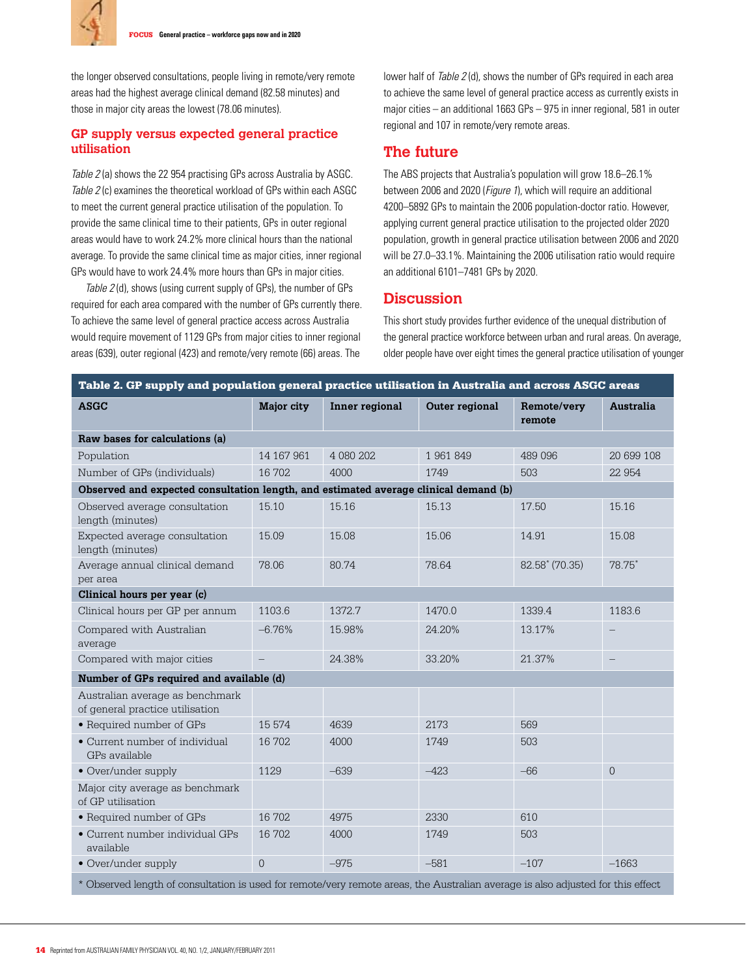the longer observed consultations, people living in remote/very remote areas had the highest average clinical demand (82.58 minutes) and those in major city areas the lowest (78.06 minutes).

## **GP supply versus expected general practice utilisation**

Table 2 (a) shows the 22 954 practising GPs across Australia by ASGC. Table 2(c) examines the theoretical workload of GPs within each ASGC to meet the current general practice utilisation of the population. To provide the same clinical time to their patients, GPs in outer regional areas would have to work 24.2% more clinical hours than the national average. To provide the same clinical time as major cities, inner regional GPs would have to work 24.4% more hours than GPs in major cities.

Table 2(d), shows (using current supply of GPs), the number of GPs required for each area compared with the number of GPs currently there. To achieve the same level of general practice access across Australia would require movement of 1129 GPs from major cities to inner regional areas (639), outer regional (423) and remote/very remote (66) areas. The

lower half of *Table 2* (d), shows the number of GPs required in each area to achieve the same level of general practice access as currently exists in major cities – an additional 1663 GPs – 975 in inner regional, 581 in outer regional and 107 in remote/very remote areas.

# **The future**

The ABS projects that Australia's population will grow 18.6–26.1% between 2006 and 2020 (Figure 1), which will require an additional 4200–5892 GPs to maintain the 2006 population-doctor ratio. However, applying current general practice utilisation to the projected older 2020 population, growth in general practice utilisation between 2006 and 2020 will be 27.0–33.1%. Maintaining the 2006 utilisation ratio would require an additional 6101–7481 GPs by 2020.

## **Discussion**

This short study provides further evidence of the unequal distribution of the general practice workforce between urban and rural areas. On average, older people have over eight times the general practice utilisation of younger

| Table 2. GP supply and population general practice utilisation in Australia and across ASGC areas                               |            |                |                |                       |                   |  |  |  |  |  |
|---------------------------------------------------------------------------------------------------------------------------------|------------|----------------|----------------|-----------------------|-------------------|--|--|--|--|--|
| <b>ASGC</b>                                                                                                                     | Major city | Inner regional | Outer regional | Remote/very<br>remote | Australia         |  |  |  |  |  |
| Raw bases for calculations (a)                                                                                                  |            |                |                |                       |                   |  |  |  |  |  |
| Population                                                                                                                      | 14 167 961 | 4 080 202      | 1 961 849      | 489 096               | 20 699 108        |  |  |  |  |  |
| Number of GPs (individuals)                                                                                                     | 16 702     | 4000           | 1749           | 503                   | 22 9 54           |  |  |  |  |  |
| Observed and expected consultation length, and estimated average clinical demand (b)                                            |            |                |                |                       |                   |  |  |  |  |  |
| Observed average consultation<br>length (minutes)                                                                               | 15.10      | 15.16          | 15.13          | 17.50                 | 15.16             |  |  |  |  |  |
| Expected average consultation<br>length (minutes)                                                                               | 15.09      | 15.08          | 15.06          | 14.91                 | 15.08             |  |  |  |  |  |
| Average annual clinical demand<br>per area                                                                                      | 78.06      | 80.74          | 78.64          | 82.58 * (70.35)       | 78.75*            |  |  |  |  |  |
| Clinical hours per year (c)                                                                                                     |            |                |                |                       |                   |  |  |  |  |  |
| Clinical hours per GP per annum                                                                                                 | 1103.6     | 1372.7         | 1470.0         | 1339.4                | 1183.6            |  |  |  |  |  |
| Compared with Australian<br>average                                                                                             | $-6.76%$   | 15.98%         | 24.20%         | 13.17%                |                   |  |  |  |  |  |
| Compared with major cities                                                                                                      | $-$        | 24.38%         | 33.20%         | 21.37%                | $\qquad \qquad -$ |  |  |  |  |  |
| Number of GPs required and available (d)                                                                                        |            |                |                |                       |                   |  |  |  |  |  |
| Australian average as benchmark<br>of general practice utilisation                                                              |            |                |                |                       |                   |  |  |  |  |  |
| • Required number of GPs                                                                                                        | 15 574     | 4639           | 2173           | 569                   |                   |  |  |  |  |  |
| • Current number of individual<br>GPs available                                                                                 | 16 702     | 4000           | 1749           | 503                   |                   |  |  |  |  |  |
| • Over/under supply                                                                                                             | 1129       | $-639$         | $-423$         | $-66$                 | $\overline{0}$    |  |  |  |  |  |
| Major city average as benchmark<br>of GP utilisation                                                                            |            |                |                |                       |                   |  |  |  |  |  |
| • Required number of GPs                                                                                                        | 16 702     | 4975           | 2330           | 610                   |                   |  |  |  |  |  |
| • Current number individual GPs<br>available                                                                                    | 16 702     | 4000           | 1749           | 503                   |                   |  |  |  |  |  |
| • Over/under supply                                                                                                             | $\Omega$   | $-975$         | $-581$         | $-107$                | $-1663$           |  |  |  |  |  |
| * Observed length of consultation is used for remote/very remote areas, the Australian average is also adjusted for this effect |            |                |                |                       |                   |  |  |  |  |  |